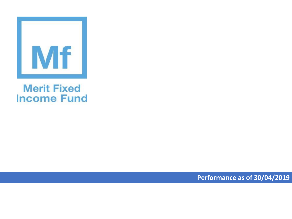

## **Merit Fixed Income Fund**

**Performance as of 30/04/2019**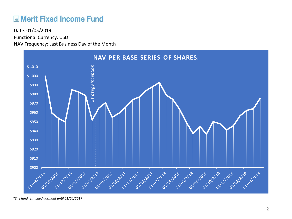## **ME Merit Fixed Income Fund**

Functional Currency: USD NAV Frequency: Last Business Day of the Month